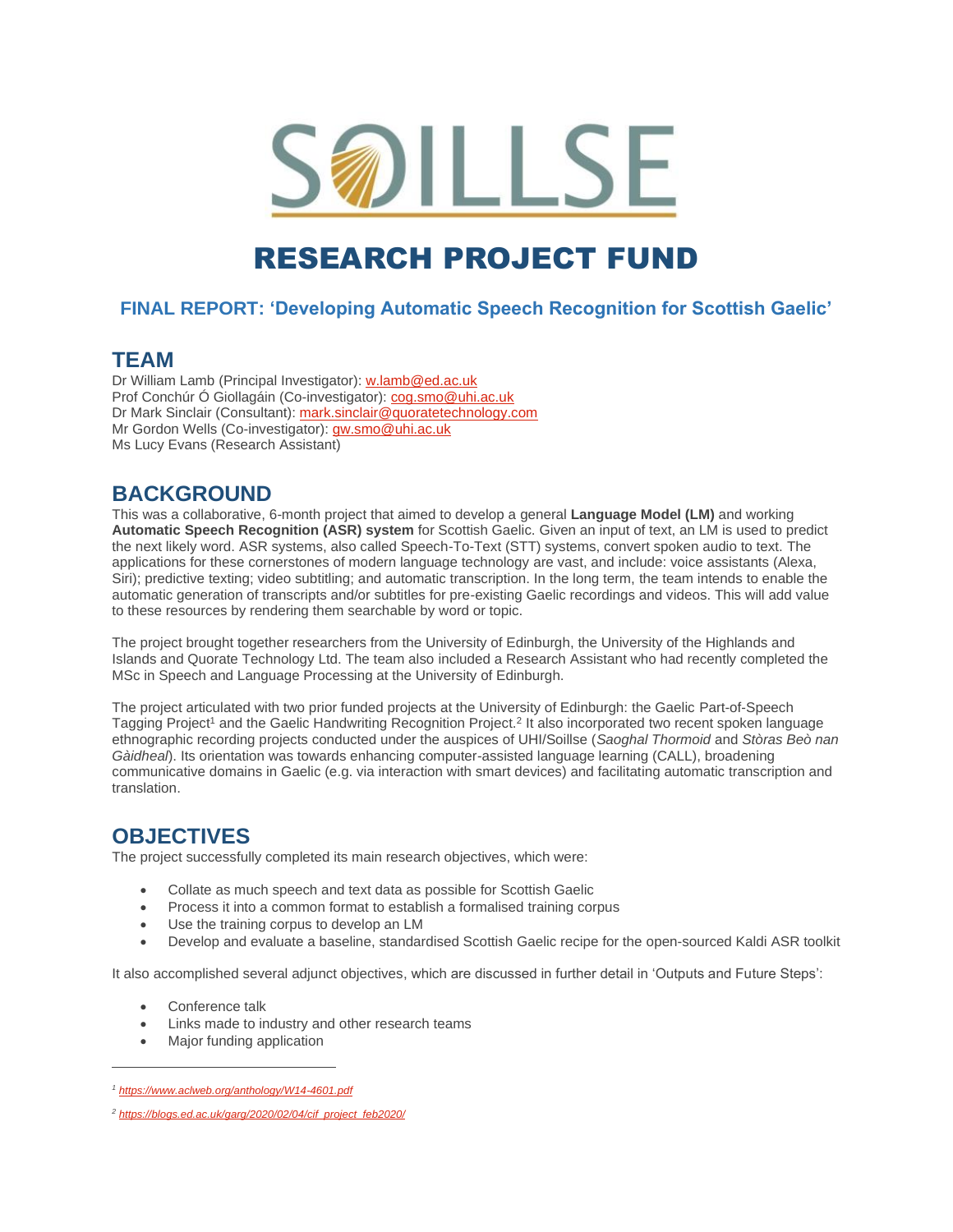

# RESEARCH PROJECT FUND

## **FINAL REPORT: 'Developing Automatic Speech Recognition for Scottish Gaelic'**

### **TEAM**

Dr William Lamb (Principal Investigator): [w.lamb@ed.ac.uk](mailto:w.lamb@ed.ac.uk) Prof Conchúr Ó Giollagáin (Co-investigator): [cog.smo@uhi.ac.uk](mailto:cog.smo@uhi.ac.uk) Dr Mark Sinclair (Consultant): [mark.sinclair@quoratetechnology.com](mailto:mark.sinclair@quoratetechnology.com) Mr Gordon Wells (Co-investigator): **[gw.smo@uhi.ac.uk](mailto:gw.smo@uhi.ac.uk)** Ms Lucy Evans (Research Assistant)

# **BACKGROUND**

This was a collaborative, 6-month project that aimed to develop a general **Language Model (LM)** and working **Automatic Speech Recognition (ASR) system** for Scottish Gaelic. Given an input of text, an LM is used to predict the next likely word. ASR systems, also called Speech-To-Text (STT) systems, convert spoken audio to text. The applications for these cornerstones of modern language technology are vast, and include: voice assistants (Alexa, Siri); predictive texting; video subtitling; and automatic transcription. In the long term, the team intends to enable the automatic generation of transcripts and/or subtitles for pre-existing Gaelic recordings and videos. This will add value to these resources by rendering them searchable by word or topic.

The project brought together researchers from the University of Edinburgh, the University of the Highlands and Islands and Quorate Technology Ltd. The team also included a Research Assistant who had recently completed the MSc in Speech and Language Processing at the University of Edinburgh.

The project articulated with two prior funded projects at the University of Edinburgh: the Gaelic Part-of-Speech Tagging Project<sup>1</sup> and the Gaelic Handwriting Recognition Project.<sup>2</sup> It also incorporated two recent spoken language ethnographic recording projects conducted under the auspices of UHI/Soillse (*Saoghal Thormoid* and *Stòras Beò nan Gàidheal*). Its orientation was towards enhancing computer-assisted language learning (CALL), broadening communicative domains in Gaelic (e.g. via interaction with smart devices) and facilitating automatic transcription and translation.

# **OBJECTIVES**

The project successfully completed its main research objectives, which were:

- Collate as much speech and text data as possible for Scottish Gaelic
- Process it into a common format to establish a formalised training corpus
- Use the training corpus to develop an LM
- Develop and evaluate a baseline, standardised Scottish Gaelic recipe for the open-sourced Kaldi ASR toolkit

It also accomplished several adjunct objectives, which are discussed in further detail in 'Outputs and Future Steps':

- Conference talk
- Links made to industry and other research teams
- Major funding application

*<sup>1</sup> <https://www.aclweb.org/anthology/W14-4601.pdf>*

*<sup>2</sup> [https://blogs.ed.ac.uk/garg/2020/02/04/cif\\_project\\_feb2020/](https://blogs.ed.ac.uk/garg/2020/02/04/cif_project_feb2020/)*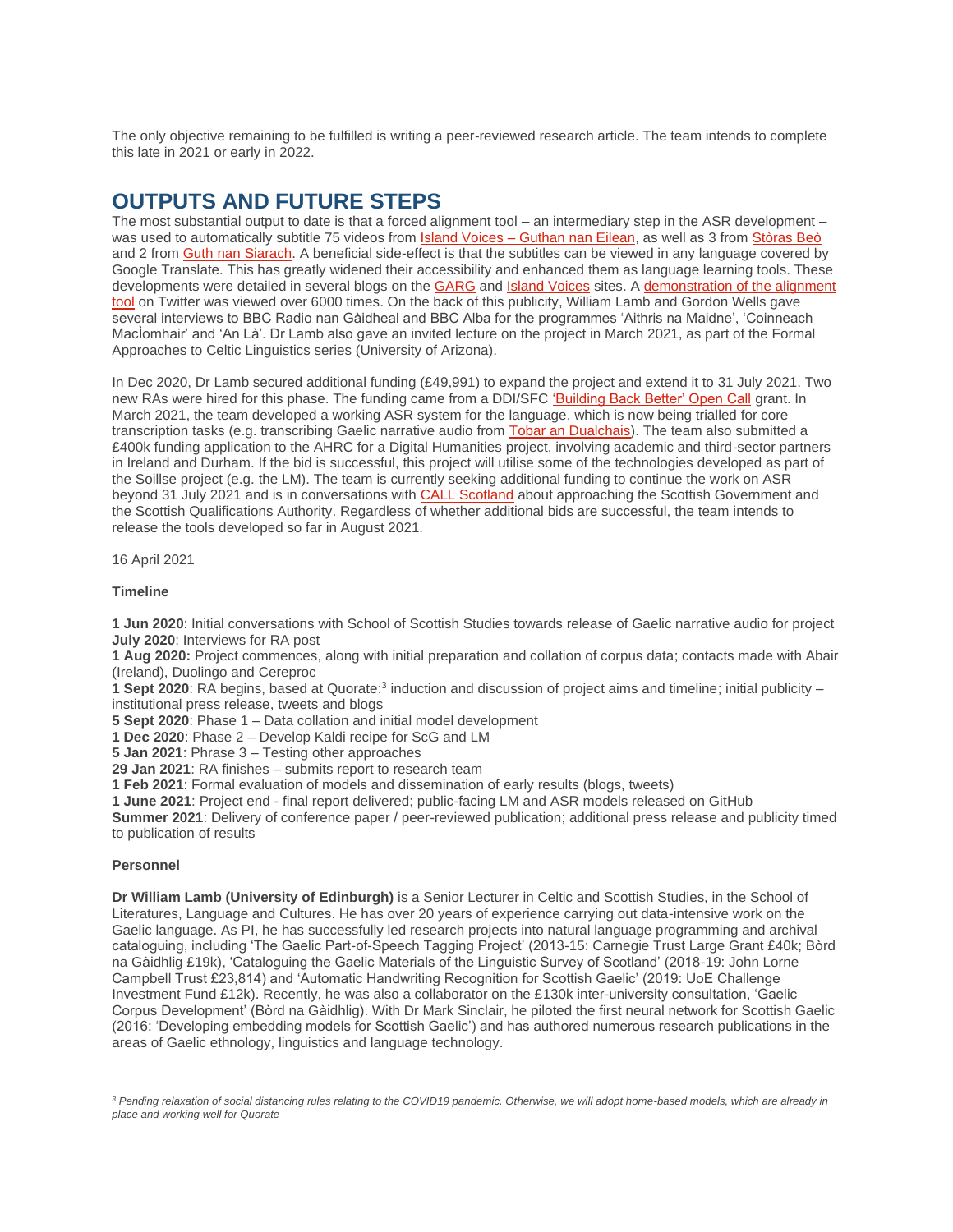The only objective remaining to be fulfilled is writing a peer-reviewed research article. The team intends to complete this late in 2021 or early in 2022.

## **OUTPUTS AND FUTURE STEPS**

The most substantial output to date is that a forced alignment tool – an intermediary step in the ASR development – was used to automatically subtitle 75 videos from Island Voices – [Guthan nan Eilean,](https://guthan.wordpress.com/2021/02/06/creative-craigard/) as well as 3 from [Stòras Beò](https://guthan.wordpress.com/2021/02/12/storas-beo-magaidh/) and 2 fro[m Guth nan](https://guthan.wordpress.com/2021/03/22/guth-nan-siarach/) Siarach. A beneficial side-effect is that the subtitles can be viewed in any language covered by Google Translate. This has greatly widened their accessibility and enhanced them as language learning tools. These developments were detailed in several blogs on the [GARG](https://blogs.ed.ac.uk/garg/2021/01/27/automatic-speech-recognition-for-scottish-gaelic-background-and-update/) an[d Island Voices](https://guthan.wordpress.com/2021/01/30/same-time-sub-titles/#comments) sites. A demonstration of the alignment [tool](https://twitter.com/UilleamUan/status/1355159503889698820) on Twitter was viewed over 6000 times. On the back of this publicity, William Lamb and Gordon Wells gave several interviews to BBC Radio nan Gàidheal and BBC Alba for the programmes 'Aithris na Maidne', 'Coinneach MacÌomhair' and 'An Là'. Dr Lamb also gave an invited lecture on the project in March 2021, as part of the Formal Approaches to Celtic Linguistics series (University of Arizona).

In Dec 2020, Dr Lamb secured additional funding (£49,991) to expand the project and extend it to 31 July 2021. Two new RAs were hired for this phase. The funding came from a DDI/SFC ['Building Back Better' Open Call](https://ddi.ac.uk/what-we-do/academics/previous-open-call-summaries/ddi-building-back-better-open-call/) grant. In March 2021, the team developed a working ASR system for the language, which is now being trialled for core transcription tasks (e.g. transcribing Gaelic narrative audio from [Tobar an Dualchais\)](http://www.tobarandualchais.co.uk/en/). The team also submitted a £400k funding application to the AHRC for a Digital Humanities project, involving academic and third-sector partners in Ireland and Durham. If the bid is successful, this project will utilise some of the technologies developed as part of the Soillse project (e.g. the LM). The team is currently seeking additional funding to continue the work on ASR beyond 31 July 2021 and is in conversations with **CALL Scotland** about approaching the Scottish Government and the Scottish Qualifications Authority. Regardless of whether additional bids are successful, the team intends to release the tools developed so far in August 2021.

16 April 2021

#### **Timeline**

**1 Jun 2020**: Initial conversations with School of Scottish Studies towards release of Gaelic narrative audio for project **July 2020**: Interviews for RA post

**1 Aug 2020:** Project commences, along with initial preparation and collation of corpus data; contacts made with Abair (Ireland), Duolingo and Cereproc

**1 Sept 2020**: RA begins, based at Quorate:<sup>3</sup> induction and discussion of project aims and timeline; initial publicity – institutional press release, tweets and blogs

**5 Sept 2020**: Phase 1 – Data collation and initial model development

**1 Dec 2020**: Phase 2 – Develop Kaldi recipe for ScG and LM

**5 Jan 2021**: Phrase 3 – Testing other approaches

**29 Jan 2021**: RA finishes – submits report to research team

**1 Feb 2021**: Formal evaluation of models and dissemination of early results (blogs, tweets)

**1 June 2021**: Project end - final report delivered; public-facing LM and ASR models released on GitHub

**Summer 2021**: Delivery of conference paper / peer-reviewed publication; additional press release and publicity timed to publication of results

#### **Personnel**

**Dr William Lamb (University of Edinburgh)** is a Senior Lecturer in Celtic and Scottish Studies, in the School of Literatures, Language and Cultures. He has over 20 years of experience carrying out data-intensive work on the Gaelic language. As PI, he has successfully led research projects into natural language programming and archival cataloguing, including 'The Gaelic Part-of-Speech Tagging Project' (2013-15: Carnegie Trust Large Grant £40k; Bòrd na Gàidhlig £19k), 'Cataloguing the Gaelic Materials of the Linguistic Survey of Scotland' (2018-19: John Lorne Campbell Trust £23,814) and 'Automatic Handwriting Recognition for Scottish Gaelic' (2019: UoE Challenge Investment Fund £12k). Recently, he was also a collaborator on the £130k inter-university consultation, 'Gaelic Corpus Development' (Bòrd na Gàidhlig). With Dr Mark Sinclair, he piloted the first neural network for Scottish Gaelic (2016: 'Developing embedding models for Scottish Gaelic') and has authored numerous research publications in the areas of Gaelic ethnology, linguistics and language technology.

*<sup>3</sup> Pending relaxation of social distancing rules relating to the COVID19 pandemic. Otherwise, we will adopt home-based models, which are already in place and working well for Quorate*